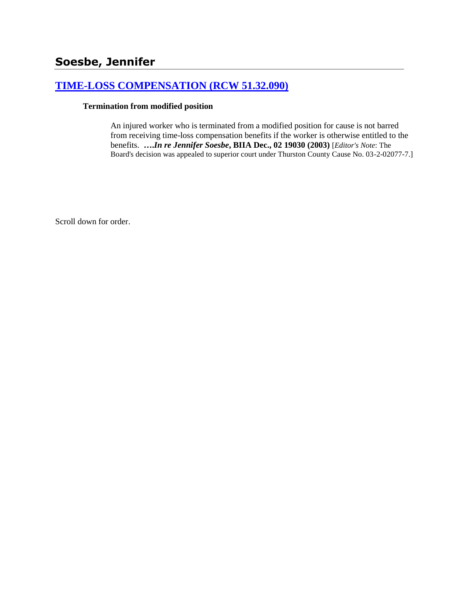# **[TIME-LOSS COMPENSATION \(RCW 51.32.090\)](http://www.biia.wa.gov/SDSubjectIndex.html#TIME_LOSS_COMPENSATION)**

### **Termination from modified position**

An injured worker who is terminated from a modified position for cause is not barred from receiving time-loss compensation benefits if the worker is otherwise entitled to the benefits. **….***In re Jennifer Soesbe***, BIIA Dec., 02 19030 (2003)** [*Editor's Note*: The Board's decision was appealed to superior court under Thurston County Cause No. 03-2-02077-7.]

Scroll down for order.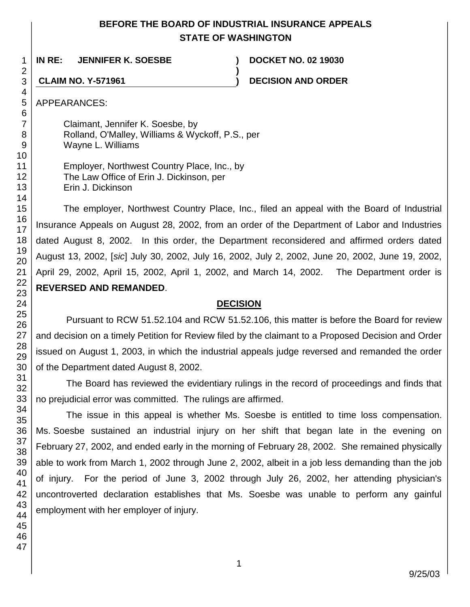## **BEFORE THE BOARD OF INDUSTRIAL INSURANCE APPEALS STATE OF WASHINGTON**

**)**

**IN RE: JENNIFER K. SOESBE ) DOCKET NO. 02 19030**

**CLAIM NO. Y-571961 ) DECISION AND ORDER**

APPEARANCES:

Claimant, Jennifer K. Soesbe, by Rolland, O'Malley, Williams & Wyckoff, P.S., per Wayne L. Williams

Employer, Northwest Country Place, Inc., by The Law Office of Erin J. Dickinson, per Erin J. Dickinson

The employer, Northwest Country Place, Inc., filed an appeal with the Board of Industrial Insurance Appeals on August 28, 2002, from an order of the Department of Labor and Industries dated August 8, 2002. In this order, the Department reconsidered and affirmed orders dated August 13, 2002, [*sic*] July 30, 2002, July 16, 2002, July 2, 2002, June 20, 2002, June 19, 2002, April 29, 2002, April 15, 2002, April 1, 2002, and March 14, 2002. The Department order is **REVERSED AND REMANDED**.

## **DECISION**

Pursuant to RCW 51.52.104 and RCW 51.52.106, this matter is before the Board for review and decision on a timely Petition for Review filed by the claimant to a Proposed Decision and Order issued on August 1, 2003, in which the industrial appeals judge reversed and remanded the order of the Department dated August 8, 2002.

The Board has reviewed the evidentiary rulings in the record of proceedings and finds that no prejudicial error was committed. The rulings are affirmed.

The issue in this appeal is whether Ms. Soesbe is entitled to time loss compensation. Ms. Soesbe sustained an industrial injury on her shift that began late in the evening on February 27, 2002, and ended early in the morning of February 28, 2002. She remained physically able to work from March 1, 2002 through June 2, 2002, albeit in a job less demanding than the job of injury. For the period of June 3, 2002 through July 26, 2002, her attending physician's uncontroverted declaration establishes that Ms. Soesbe was unable to perform any gainful employment with her employer of injury.

1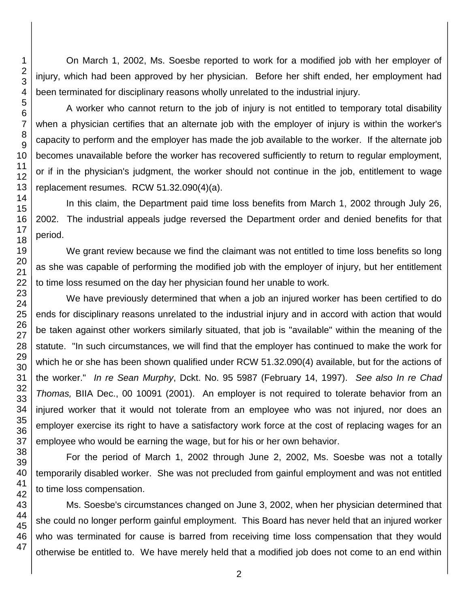On March 1, 2002, Ms. Soesbe reported to work for a modified job with her employer of injury, which had been approved by her physician. Before her shift ended, her employment had been terminated for disciplinary reasons wholly unrelated to the industrial injury.

A worker who cannot return to the job of injury is not entitled to temporary total disability when a physician certifies that an alternate job with the employer of injury is within the worker's capacity to perform and the employer has made the job available to the worker. If the alternate job becomes unavailable before the worker has recovered sufficiently to return to regular employment, or if in the physician's judgment, the worker should not continue in the job, entitlement to wage replacement resumes. RCW 51.32.090(4)(a).

In this claim, the Department paid time loss benefits from March 1, 2002 through July 26, 2002. The industrial appeals judge reversed the Department order and denied benefits for that period.

We grant review because we find the claimant was not entitled to time loss benefits so long as she was capable of performing the modified job with the employer of injury, but her entitlement to time loss resumed on the day her physician found her unable to work.

We have previously determined that when a job an injured worker has been certified to do ends for disciplinary reasons unrelated to the industrial injury and in accord with action that would be taken against other workers similarly situated, that job is "available" within the meaning of the statute. "In such circumstances, we will find that the employer has continued to make the work for which he or she has been shown qualified under RCW 51.32.090(4) available, but for the actions of the worker." *In re Sean Murphy*, Dckt. No. 95 5987 (February 14, 1997). *See also In re Chad Thomas,* BIIA Dec., 00 10091 (2001). An employer is not required to tolerate behavior from an injured worker that it would not tolerate from an employee who was not injured, nor does an employer exercise its right to have a satisfactory work force at the cost of replacing wages for an employee who would be earning the wage, but for his or her own behavior.

For the period of March 1, 2002 through June 2, 2002, Ms. Soesbe was not a totally temporarily disabled worker. She was not precluded from gainful employment and was not entitled to time loss compensation.

Ms. Soesbe's circumstances changed on June 3, 2002, when her physician determined that she could no longer perform gainful employment. This Board has never held that an injured worker who was terminated for cause is barred from receiving time loss compensation that they would otherwise be entitled to. We have merely held that a modified job does not come to an end within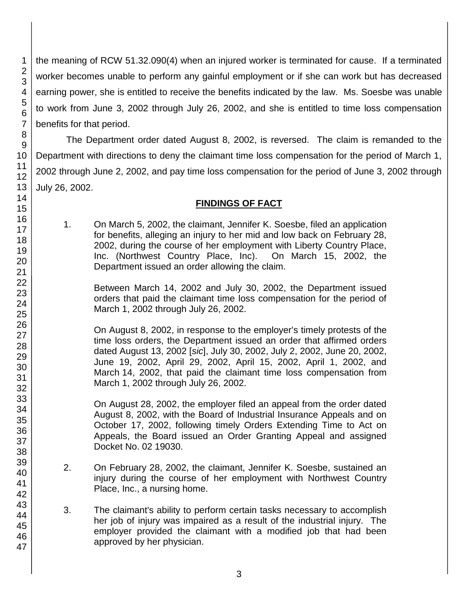the meaning of RCW 51.32.090(4) when an injured worker is terminated for cause. If a terminated worker becomes unable to perform any gainful employment or if she can work but has decreased earning power, she is entitled to receive the benefits indicated by the law. Ms. Soesbe was unable to work from June 3, 2002 through July 26, 2002, and she is entitled to time loss compensation benefits for that period.

The Department order dated August 8, 2002, is reversed. The claim is remanded to the Department with directions to deny the claimant time loss compensation for the period of March 1, 2002 through June 2, 2002, and pay time loss compensation for the period of June 3, 2002 through July 26, 2002.

### **FINDINGS OF FACT**

1. On March 5, 2002, the claimant, Jennifer K. Soesbe, filed an application for benefits, alleging an injury to her mid and low back on February 28, 2002, during the course of her employment with Liberty Country Place, Inc. (Northwest Country Place, Inc). On March 15, 2002, the Department issued an order allowing the claim.

Between March 14, 2002 and July 30, 2002, the Department issued orders that paid the claimant time loss compensation for the period of March 1, 2002 through July 26, 2002.

On August 8, 2002, in response to the employer's timely protests of the time loss orders, the Department issued an order that affirmed orders dated August 13, 2002 [*sic*], July 30, 2002, July 2, 2002, June 20, 2002, June 19, 2002, April 29, 2002, April 15, 2002, April 1, 2002, and March 14, 2002, that paid the claimant time loss compensation from March 1, 2002 through July 26, 2002.

On August 28, 2002, the employer filed an appeal from the order dated August 8, 2002, with the Board of Industrial Insurance Appeals and on October 17, 2002, following timely Orders Extending Time to Act on Appeals, the Board issued an Order Granting Appeal and assigned Docket No. 02 19030.

- 2. On February 28, 2002, the claimant, Jennifer K. Soesbe, sustained an injury during the course of her employment with Northwest Country Place, Inc., a nursing home.
- 3. The claimant's ability to perform certain tasks necessary to accomplish her job of injury was impaired as a result of the industrial injury. The employer provided the claimant with a modified job that had been approved by her physician.